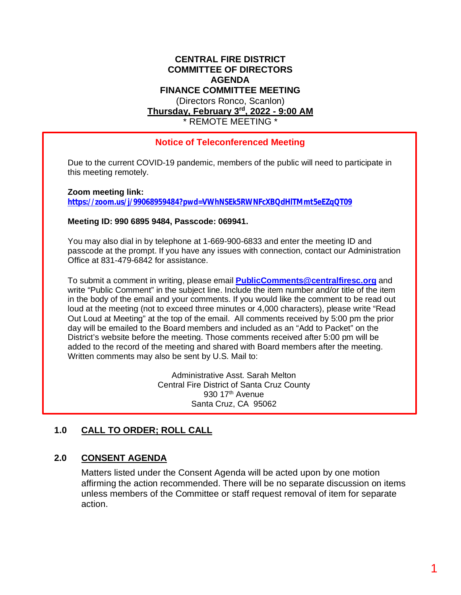#### **CENTRAL FIRE DISTRICT COMMITTEE OF DIRECTORS AGENDA FINANCE COMMITTEE MEETING** (Directors Ronco, Scanlon) **Thursday, February 3rd, 2022 - 9:00 AM** \* REMOTE MEETING \*

## **Notice of Teleconferenced Meeting**

Due to the current COVID-19 pandemic, members of the public will need to participate in this meeting remotely.

**Zoom meeting link:**

**<https://zoom.us/j/99068959484?pwd=VWhNSEk5RWNFcXBQdHlTMmt5eEZqQT09>**

#### **Meeting ID: 990 6895 9484, Passcode: 069941.**

You may also dial in by telephone at 1-669-900-6833 and enter the meeting ID and passcode at the prompt. If you have any issues with connection, contact our Administration Office at 831-479-6842 for assistance.

To submit a comment in writing, please email **[PublicComments@centralfiresc.org](mailto:PublicComments@centralfiresc.org)** and write "Public Comment" in the subject line. Include the item number and/or title of the item in the body of the email and your comments. If you would like the comment to be read out loud at the meeting (not to exceed three minutes or 4,000 characters), please write "Read Out Loud at Meeting" at the top of the email. All comments received by 5:00 pm the prior day will be emailed to the Board members and included as an "Add to Packet" on the District's website before the meeting. Those comments received after 5:00 pm will be added to the record of the meeting and shared with Board members after the meeting. Written comments may also be sent by U.S. Mail to:

> Administrative Asst. Sarah Melton Central Fire District of Santa Cruz County 930 17<sup>th</sup> Avenue Santa Cruz, CA 95062

## **1.0 CALL TO ORDER; ROLL CALL**

## **2.0 CONSENT AGENDA**

Matters listed under the Consent Agenda will be acted upon by one motion affirming the action recommended. There will be no separate discussion on items unless members of the Committee or staff request removal of item for separate action.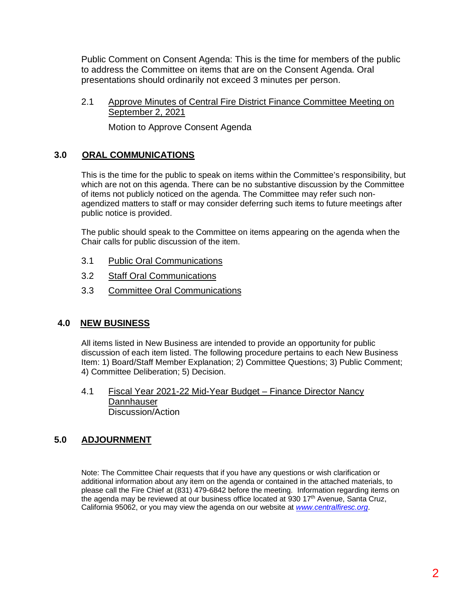Public Comment on Consent Agenda: This is the time for members of the public to address the Committee on items that are on the Consent Agenda. Oral presentations should ordinarily not exceed 3 minutes per person.

2.1 Approve Minutes of Central Fire District Finance Committee Meeting on September 2, 2021

Motion to Approve Consent Agenda

## **3.0 ORAL COMMUNICATIONS**

This is the time for the public to speak on items within the Committee's responsibility, but which are not on this agenda. There can be no substantive discussion by the Committee of items not publicly noticed on the agenda. The Committee may refer such nonagendized matters to staff or may consider deferring such items to future meetings after public notice is provided.

The public should speak to the Committee on items appearing on the agenda when the Chair calls for public discussion of the item.

- 3.1 Public Oral Communications
- 3.2 Staff Oral Communications
- 3.3 Committee Oral Communications

## **4.0 NEW BUSINESS**

All items listed in New Business are intended to provide an opportunity for public discussion of each item listed. The following procedure pertains to each New Business Item: 1) Board/Staff Member Explanation; 2) Committee Questions; 3) Public Comment; 4) Committee Deliberation; 5) Decision.

4.1 Fiscal Year 2021-22 Mid-Year Budget – Finance Director Nancy **Dannhauser** Discussion/Action

## **5.0 ADJOURNMENT**

Note: The Committee Chair requests that if you have any questions or wish clarification or additional information about any item on the agenda or contained in the attached materials, to please call the Fire Chief at (831) 479-6842 before the meeting. Information regarding items on the agenda may be reviewed at our business office located at 930 17<sup>th</sup> Avenue, Santa Cruz, California 95062, or you may view the agenda on our website at *[www.centralfiresc.org](http://www.centralfiresc.org/)*.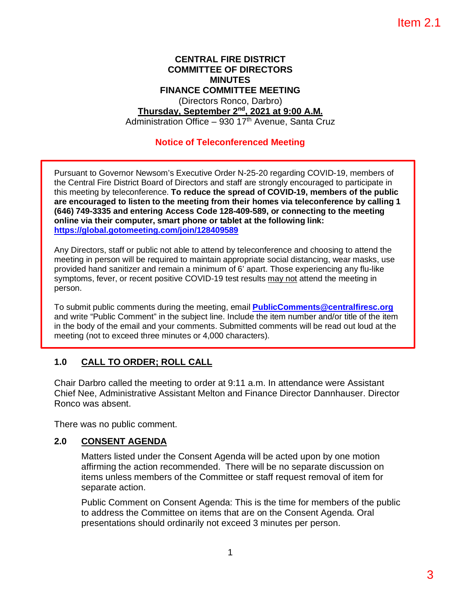#### **CENTRAL FIRE DISTRICT COMMITTEE OF DIRECTORS MINUTES FINANCE COMMITTEE MEETING** (Directors Ronco, Darbro) **Thursday, September 2nd, 2021 at 9:00 A.M.** Administration Office – 930 17<sup>th</sup> Avenue, Santa Cruz

## **Notice of Teleconferenced Meeting**

Pursuant to Governor Newsom's Executive Order N-25-20 regarding COVID-19, members of the Central Fire District Board of Directors and staff are strongly encouraged to participate in this meeting by teleconference. **To reduce the spread of COVID-19, members of the public are encouraged to listen to the meeting from their homes via teleconference by calling 1 (646) 749-3335 and entering Access Code 128-409-589, or connecting to the meeting online via their computer, smart phone or tablet at the following link: https://global.gotomeeting.com/join/128409589**

Any Directors, staff or public not able to attend by teleconference and choosing to attend the meeting in person will be required to maintain appropriate social distancing, wear masks, use provided hand sanitizer and remain a minimum of 6' apart. Those experiencing any flu-like symptoms, fever, or recent positive COVID-19 test results may not attend the meeting in person.

To submit public comments during the meeting, email **PublicComments@centralfiresc.org** and write "Public Comment" in the subject line. Include the item number and/or title of the item in the body of the email and your comments. Submitted comments will be read out loud at the meeting (not to exceed three minutes or 4,000 characters).

## **1.0 CALL TO ORDER; ROLL CALL**

Chair Darbro called the meeting to order at 9:11 a.m. In attendance were Assistant Chief Nee, Administrative Assistant Melton and Finance Director Dannhauser. Director Ronco was absent.

There was no public comment.

## **2.0 CONSENT AGENDA**

Matters listed under the Consent Agenda will be acted upon by one motion affirming the action recommended. There will be no separate discussion on items unless members of the Committee or staff request removal of item for separate action.

Public Comment on Consent Agenda: This is the time for members of the public to address the Committee on items that are on the Consent Agenda. Oral presentations should ordinarily not exceed 3 minutes per person.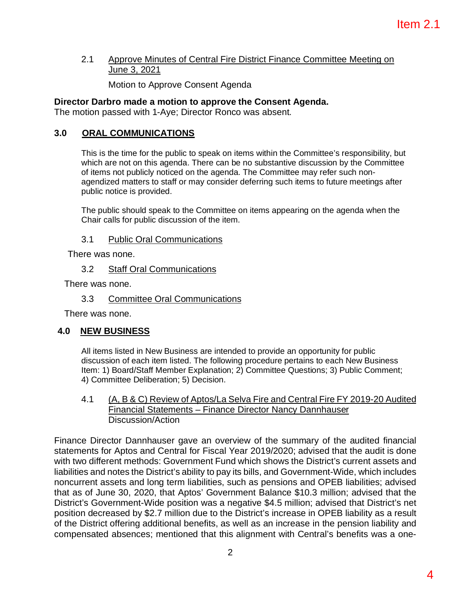#### 2.1 Approve Minutes of Central Fire District Finance Committee Meeting on June 3, 2021

Motion to Approve Consent Agenda

## **Director Darbro made a motion to approve the Consent Agenda.**

The motion passed with 1-Aye; Director Ronco was absent.

## **3.0 ORAL COMMUNICATIONS**

This is the time for the public to speak on items within the Committee's responsibility, but which are not on this agenda. There can be no substantive discussion by the Committee of items not publicly noticed on the agenda. The Committee may refer such nonagendized matters to staff or may consider deferring such items to future meetings after public notice is provided.

The public should speak to the Committee on items appearing on the agenda when the Chair calls for public discussion of the item.

## 3.1 Public Oral Communications

There was none.

#### 3.2 Staff Oral Communications

There was none.

#### 3.3 Committee Oral Communications

There was none.

## **4.0 NEW BUSINESS**

All items listed in New Business are intended to provide an opportunity for public discussion of each item listed. The following procedure pertains to each New Business Item: 1) Board/Staff Member Explanation; 2) Committee Questions; 3) Public Comment; 4) Committee Deliberation; 5) Decision.

#### 4.1 (A, B & C) Review of Aptos/La Selva Fire and Central Fire FY 2019-20 Audited Financial Statements – Finance Director Nancy Dannhauser Discussion/Action

Finance Director Dannhauser gave an overview of the summary of the audited financial statements for Aptos and Central for Fiscal Year 2019/2020; advised that the audit is done with two different methods: Government Fund which shows the District's current assets and liabilities and notes the District's ability to pay its bills, and Government-Wide, which includes noncurrent assets and long term liabilities, such as pensions and OPEB liabilities; advised that as of June 30, 2020, that Aptos' Government Balance \$10.3 million; advised that the District's Government-Wide position was a negative \$4.5 million; advised that District's net position decreased by \$2.7 million due to the District's increase in OPEB liability as a result of the District offering additional benefits, as well as an increase in the pension liability and compensated absences; mentioned that this alignment with Central's benefits was a one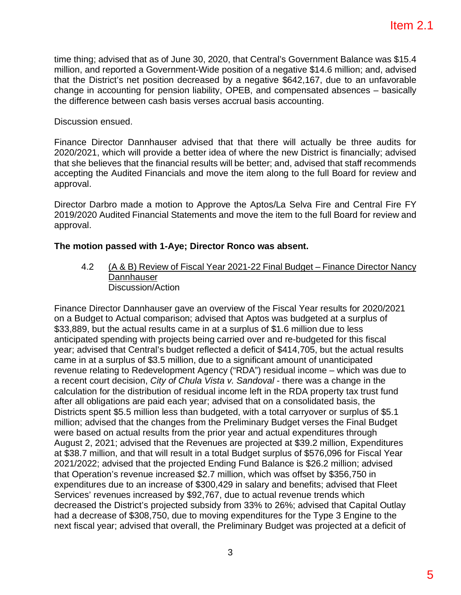time thing; advised that as of June 30, 2020, that Central's Government Balance was \$15.4 million, and reported a Government-Wide position of a negative \$14.6 million; and, advised that the District's net position decreased by a negative \$642,167, due to an unfavorable change in accounting for pension liability, OPEB, and compensated absences – basically the difference between cash basis verses accrual basis accounting.

Discussion ensued.

Finance Director Dannhauser advised that that there will actually be three audits for 2020/2021, which will provide a better idea of where the new District is financially; advised that she believes that the financial results will be better; and, advised that staff recommends accepting the Audited Financials and move the item along to the full Board for review and approval.

Director Darbro made a motion to Approve the Aptos/La Selva Fire and Central Fire FY 2019/2020 Audited Financial Statements and move the item to the full Board for review and approval.

## **The motion passed with 1-Aye; Director Ronco was absent.**

4.2 (A & B) Review of Fiscal Year 2021-22 Final Budget – Finance Director Nancy **Dannhauser** Discussion/Action

Finance Director Dannhauser gave an overview of the Fiscal Year results for 2020/2021 on a Budget to Actual comparison; advised that Aptos was budgeted at a surplus of \$33,889, but the actual results came in at a surplus of \$1.6 million due to less anticipated spending with projects being carried over and re-budgeted for this fiscal year; advised that Central's budget reflected a deficit of \$414,705, but the actual results came in at a surplus of \$3.5 million, due to a significant amount of unanticipated revenue relating to Redevelopment Agency ("RDA") residual income – which was due to a recent court decision, *City of Chula Vista v. Sandoval* - there was a change in the calculation for the distribution of residual income left in the RDA property tax trust fund after all obligations are paid each year; advised that on a consolidated basis, the Districts spent \$5.5 million less than budgeted, with a total carryover or surplus of \$5.1 million; advised that the changes from the Preliminary Budget verses the Final Budget were based on actual results from the prior year and actual expenditures through August 2, 2021; advised that the Revenues are projected at \$39.2 million, Expenditures at \$38.7 million, and that will result in a total Budget surplus of \$576,096 for Fiscal Year 2021/2022; advised that the projected Ending Fund Balance is \$26.2 million; advised that Operation's revenue increased \$2.7 million, which was offset by \$356,750 in expenditures due to an increase of \$300,429 in salary and benefits; advised that Fleet Services' revenues increased by \$92,767, due to actual revenue trends which decreased the District's projected subsidy from 33% to 26%; advised that Capital Outlay had a decrease of \$308,750, due to moving expenditures for the Type 3 Engine to the next fiscal year; advised that overall, the Preliminary Budget was projected at a deficit of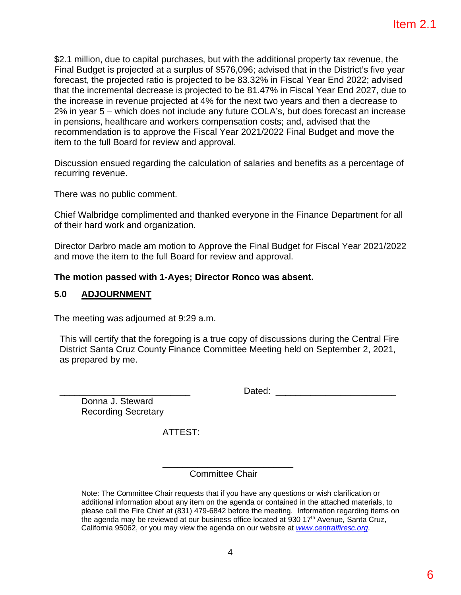\$2.1 million, due to capital purchases, but with the additional property tax revenue, the Final Budget is projected at a surplus of \$576,096; advised that in the District's five year forecast, the projected ratio is projected to be 83.32% in Fiscal Year End 2022; advised that the incremental decrease is projected to be 81.47% in Fiscal Year End 2027, due to the increase in revenue projected at 4% for the next two years and then a decrease to 2% in year 5 – which does not include any future COLA's, but does forecast an increase in pensions, healthcare and workers compensation costs; and, advised that the recommendation is to approve the Fiscal Year 2021/2022 Final Budget and move the item to the full Board for review and approval.

Discussion ensued regarding the calculation of salaries and benefits as a percentage of recurring revenue.

There was no public comment.

Chief Walbridge complimented and thanked everyone in the Finance Department for all of their hard work and organization.

Director Darbro made am motion to Approve the Final Budget for Fiscal Year 2021/2022 and move the item to the full Board for review and approval.

#### **The motion passed with 1-Ayes; Director Ronco was absent.**

#### **5.0 ADJOURNMENT**

The meeting was adjourned at 9:29 a.m.

This will certify that the foregoing is a true copy of discussions during the Central Fire District Santa Cruz County Finance Committee Meeting held on September 2, 2021, as prepared by me.

Dated:  $\Box$ 

Donna J. Steward Recording Secretary

ATTEST:

\_\_\_\_\_\_\_\_\_\_\_\_\_\_\_\_\_\_\_\_\_\_\_\_\_\_ Committee Chair

Note: The Committee Chair requests that if you have any questions or wish clarification or additional information about any item on the agenda or contained in the attached materials, to please call the Fire Chief at (831) 479-6842 before the meeting. Information regarding items on the agenda may be reviewed at our business office located at 930 17<sup>th</sup> Avenue, Santa Cruz, California 95062, or you may view the agenda on our website at *www.centralfiresc.org*.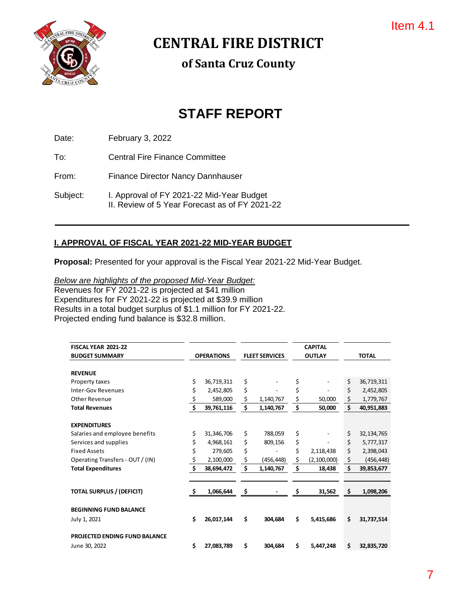

**CENTRAL FIRE DISTRICT**

**of Santa Cruz County**

# **STAFF REPORT**

Date: February 3, 2022

To: Central Fire Finance Committee

From: Finance Director Nancy Dannhauser

Subject: I. Approval of FY 2021-22 Mid-Year Budget II. Review of 5 Year Forecast as of FY 2021-22

## **I. APPROVAL OF FISCAL YEAR 2021-22 MID-YEAR BUDGET**

**Proposal:** Presented for your approval is the Fiscal Year 2021-22 Mid-Year Budget.

*Below are highlights of the proposed Mid-Year Budget:* Revenues for FY 2021-22 is projected at \$41 million Expenditures for FY 2021-22 is projected at \$39.9 million Results in a total budget surplus of \$1.1 million for FY 2021-22. Projected ending fund balance is \$32.8 million.

| FISCAL YEAR 2021-22                  |                                            |            |                  |              | <b>CAPITAL</b> |    |            |
|--------------------------------------|--------------------------------------------|------------|------------------|--------------|----------------|----|------------|
| <b>BUDGET SUMMARY</b>                | <b>FLEET SERVICES</b><br><b>OPERATIONS</b> |            | <b>OUTLAY</b>    |              | <b>TOTAL</b>   |    |            |
|                                      |                                            |            |                  |              |                |    |            |
| <b>REVENUE</b>                       |                                            |            |                  |              |                |    |            |
| Property taxes                       | \$                                         | 36,719,311 | \$               | \$           |                | \$ | 36,719,311 |
| <b>Inter-Gov Revenues</b>            | \$                                         | 2,452,805  | \$               | \$           |                | \$ | 2,452,805  |
| Other Revenue                        | \$                                         | 589,000    | \$<br>1,140,767  | \$           | 50,000         | \$ | 1,779,767  |
| <b>Total Revenues</b>                | \$<br>39,761,116                           |            | \$<br>1,140,767  | \$<br>50,000 |                | \$ | 40,951,883 |
| <b>EXPENDITURES</b>                  |                                            |            |                  |              |                |    |            |
| Salaries and employee benefits       | \$                                         | 31,346,706 | \$<br>788,059    | \$           |                | \$ | 32,134,765 |
| Services and supplies                | \$                                         | 4,968,161  | \$<br>809,156    | \$           |                | \$ | 5,777,317  |
| <b>Fixed Assets</b>                  | \$                                         | 279,605    | \$               | Ś            | 2,118,438      | \$ | 2,398,043  |
| Operating Transfers - OUT / (IN)     | \$                                         | 2,100,000  | \$<br>(456, 448) | \$           | (2, 100, 000)  | \$ | (456, 448) |
| <b>Total Expenditures</b>            | \$                                         | 38,694,472 | \$<br>1,140,767  | \$           | 18,438         | \$ | 39,853,677 |
|                                      |                                            |            |                  |              |                |    |            |
| <b>TOTAL SURPLUS / (DEFICIT)</b>     | -\$                                        | 1,066,644  | \$               | \$           | 31,562         | \$ | 1,098,206  |
| <b>BEGINNING FUND BALANCE</b>        |                                            |            |                  |              |                |    |            |
| July 1, 2021                         | \$                                         | 26,017,144 | \$<br>304.684    | \$           | 5,415,686      | \$ | 31,737,514 |
| <b>PROJECTED ENDING FUND BALANCE</b> |                                            |            |                  |              |                |    |            |
| June 30, 2022                        | \$                                         | 27,083,789 | \$<br>304,684    | \$           | 5,447,248      | \$ | 32,835,720 |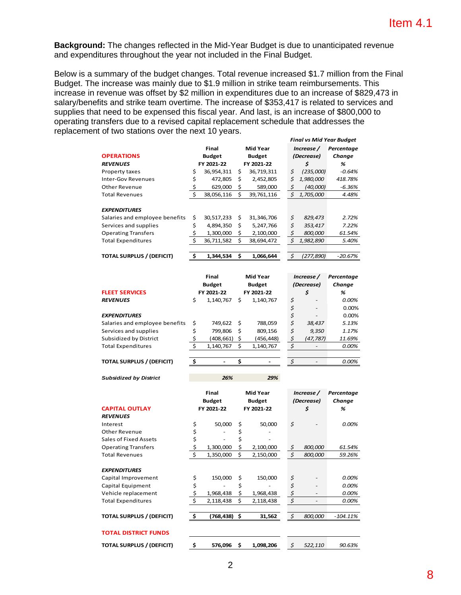**Background:** The changes reflected in the Mid-Year Budget is due to unanticipated revenue and expenditures throughout the year not included in the Final Budget.

Below is a summary of the budget changes. Total revenue increased \$1.7 million from the Final Budget. The increase was mainly due to \$1.9 million in strike team reimbursements. This increase in revenue was offset by \$2 million in expenditures due to an increase of \$829,473 in salary/benefits and strike team overtime. The increase of \$353,417 is related to services and supplies that need to be expensed this fiscal year. And last, is an increase of \$800,000 to operating transfers due to a revised capital replacement schedule that addresses the replacement of two stations over the next 10 years.

|                                  |    |               |                 | <b>Final vs Mid Year Budget</b> |    |               |            |
|----------------------------------|----|---------------|-----------------|---------------------------------|----|---------------|------------|
|                                  |    | Final         | <b>Mid Year</b> |                                 |    | Increase /    | Percentage |
| <b>OPERATIONS</b>                |    | <b>Budget</b> |                 | <b>Budget</b>                   |    | (Decrease)    | Change     |
| <b>REVENUES</b>                  |    | FY 2021-22    | FY 2021-22      |                                 |    | \$            | %          |
| Property taxes                   | \$ | 36,954,311    | Ś.              | 36,719,311                      | \$ | (235,000)     | $-0.64%$   |
| Inter-Gov Revenues               |    | 472,805       | Ś               | 2,452,805                       | Ś  | 1,980,000     | 418.78%    |
| Other Revenue                    |    | 629,000       | \$              | 589,000                         | \$ | (40,000)      | $-6.36%$   |
| <b>Total Revenues</b>            | S. | 38,056,116    | \$              | 39,761,116                      | \$ | 1,705,000     | 4.48%      |
| <b>EXPENDITURES</b>              |    |               |                 |                                 |    |               |            |
| Salaries and employee benefits   | \$ | 30,517,233    | \$              | 31,346,706                      | \$ | 829,473       | 2.72%      |
| Services and supplies            | \$ | 4,894,350     | Ś               | 5,247,766                       | \$ | 353,417       | 7.22%      |
| <b>Operating Transfers</b>       | \$ | 1,300,000     | \$              | 2,100,000                       | \$ | 800,000       | 61.54%     |
| <b>Total Expenditures</b>        | Ś. | 36,711,582    | \$              | 38,694,472                      | Ś. | 1,982,890     | 5.40%      |
|                                  |    |               |                 |                                 |    |               |            |
| <b>TOTAL SURPLUS / (DEFICIT)</b> | Ś  | 1,344,534     | \$              | 1,066,644                       | \$ | (277,890)     | -20.67%    |
|                                  |    |               |                 |                                 |    | $\sim$ $\sim$ |            |

|                                  | Final           |                          | <b>Mid Year</b> |           | Increase / |           | Percentage |
|----------------------------------|-----------------|--------------------------|-----------------|-----------|------------|-----------|------------|
|                                  | <b>Budget</b>   |                          | <b>Budget</b>   |           | (Decrease) |           | Change     |
| <b>FLEET SERVICES</b>            | FY 2021-22      |                          | FY 2021-22      |           | \$         |           | %          |
| <b>REVENUES</b>                  | \$<br>1,140,767 |                          | \$              | 1,140,767 | \$         |           | 0.00%      |
|                                  |                 |                          |                 |           |            | -         | 0.00%      |
| <b>EXPENDITURES</b>              |                 |                          |                 |           |            | -         | 0.00%      |
| Salaries and employee benefits   | \$              | 749.622                  | -S              | 788,059   | \$         | 38,437    | 5.13%      |
| Services and supplies            | \$              | 799,806                  | \$              | 809,156   | \$         | 9,350     | 1.17%      |
| Subsidized by District           |                 | (408,661)                | S               | (456,448) |            | (47, 787) | 11.69%     |
| <b>Total Expenditures</b>        |                 | 1,140,767                | \$              | 1,140,767 | S          |           | 0.00%      |
|                                  |                 |                          |                 |           |            |           |            |
| <b>TOTAL SURPLUS / (DEFICIT)</b> |                 | $\overline{\phantom{0}}$ |                 |           | Ś          |           | 0.00%      |

| <b>Subsidized by District</b> |            | 26%                    |                                  | 29%       |                          |                |                      |
|-------------------------------|------------|------------------------|----------------------------------|-----------|--------------------------|----------------|----------------------|
|                               |            | Final<br><b>Budget</b> | <b>Mid Year</b><br><b>Budget</b> |           | Increase /<br>(Decrease) |                | Percentage<br>Change |
| <b>CAPITAL OUTLAY</b>         | FY 2021-22 |                        | FY 2021-22                       |           |                          | \$             | %                    |
| <b>REVENUES</b>               |            |                        |                                  |           |                          |                |                      |
| Interest                      | \$         | 50,000                 | \$                               | 50,000    | \$                       | -              | $0.00\%$             |
| Other Revenue                 | \$         | ٠                      | \$                               |           |                          |                |                      |
| Sales of Fixed Assets         | \$         | ۰                      | \$                               |           |                          |                |                      |
| <b>Operating Transfers</b>    |            | 1,300,000              |                                  | 2,100,000 | \$                       | <i>800,000</i> | 61.54%               |
| <b>Total Revenues</b>         |            | 1,350,000              | \$                               | 2,150,000 | \$                       | 800,000        | 59.26%               |
|                               |            |                        |                                  |           |                          |                |                      |

| <b>Total Revenues</b>            | \$<br>1,350,000 | \$ | 2,150,000 | 800,000 | 59.26%      |
|----------------------------------|-----------------|----|-----------|---------|-------------|
|                                  |                 |    |           |         |             |
| <b>EXPENDITURES</b>              |                 |    |           |         |             |
| Capital Improvement              | \$<br>150,000   | S  | 150,000   | \$<br>- | 0.00%       |
| Capital Equipment                |                 | \$ |           |         | 0.00%       |
| Vehicle replacement              | 1,968,438       | \$ | 1,968,438 |         | 0.00%       |
| <b>Total Expenditures</b>        | \$<br>2,118,438 | \$ | 2,118,438 |         | 0.00%       |
|                                  |                 |    |           |         |             |
| <b>TOTAL SURPLUS / (DEFICIT)</b> | (768,438) \$    |    | 31,562    | 800,000 | $-104.11\%$ |
|                                  |                 |    |           |         |             |
| <b>TOTAL DISTRICT FUNDS</b>      |                 |    |           |         |             |
|                                  |                 |    |           |         |             |
| <b>TOTAL SURPLUS / (DEFICIT)</b> | \$<br>576.096   | Ś  | 1,098,206 | 522.110 | 90.63%      |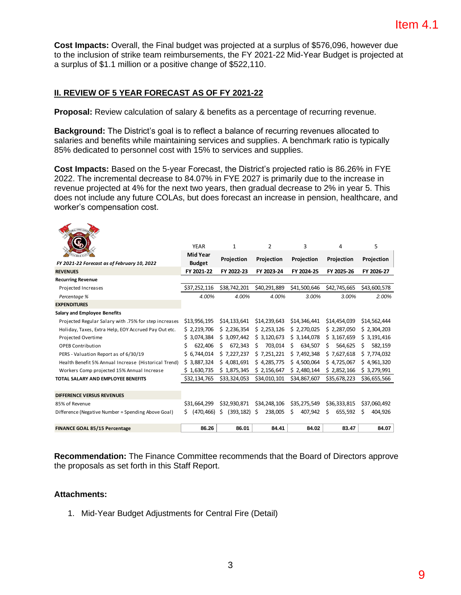**Cost Impacts:** Overall, the Final budget was projected at a surplus of \$576,096, however due to the inclusion of strike team reimbursements, the FY 2021-22 Mid-Year Budget is projected at a surplus of \$1.1 million or a positive change of \$522,110.

#### **II. REVIEW OF 5 YEAR FORECAST AS OF FY 2021-22**

**Proposal:** Review calculation of salary & benefits as a percentage of recurring revenue.

**Background:** The District's goal is to reflect a balance of recurring revenues allocated to salaries and benefits while maintaining services and supplies. A benchmark ratio is typically 85% dedicated to personnel cost with 15% to services and supplies.

**Cost Impacts:** Based on the 5-year Forecast, the District's projected ratio is 86.26% in FYE 2022. The incremental decrease to 84.07% in FYE 2027 is primarily due to the increase in revenue projected at 4% for the next two years, then gradual decrease to 2% in year 5. This does not include any future COLAs, but does forecast an increase in pension, healthcare, and worker's compensation cost.

|                                                       | <b>YEAR</b>      | 1                | 2             | 3            | 4             | 5            |
|-------------------------------------------------------|------------------|------------------|---------------|--------------|---------------|--------------|
|                                                       | <b>Mid Year</b>  | Projection       | Projection    | Projection   | Projection    | Projection   |
| FY 2021-22 Forecast as of February 10, 2022           | <b>Budget</b>    |                  |               |              |               |              |
| <b>REVENUES</b>                                       | FY 2021-22       | FY 2022-23       | FY 2023-24    | FY 2024-25   | FY 2025-26    | FY 2026-27   |
| <b>Recurring Revenue</b>                              |                  |                  |               |              |               |              |
| Projected Increases                                   | \$37,252,116     | \$38,742,201     | \$40,291,889  | \$41,500,646 | \$42,745,665  | \$43,600,578 |
| Percentage %                                          | 4.00%            | 4.00%            | 4.00%         | 3.00%        | 3.00%         | 2.00%        |
| <b>EXPENDITURES</b>                                   |                  |                  |               |              |               |              |
| <b>Salary and Employee Benefits</b>                   |                  |                  |               |              |               |              |
| Projected Regular Salary with .75% for step increases | \$13,956,195     | \$14,133,641     | \$14,239,643  | \$14,346,441 | \$14,454,039  | \$14,562,444 |
| Holiday, Taxes, Extra Help, EOY Accrued Pay Out etc.  | \$2,219,706      | \$2,236,354      | \$2,253,126   | \$2,270,025  | \$2,287,050   | \$2,304,203  |
| Projected Overtime                                    | \$3,074,384      | \$3,097,442      | \$3,120,673   | \$3,144,078  | \$3,167,659   | \$3,191,416  |
| <b>OPEB Contribution</b>                              | 622,406<br>s     | 672,343<br>Ŝ.    | 703.014<br>S. | 634.507<br>s | Ś.<br>564.625 | 582,159<br>s |
| PERS - Valuation Report as of 6/30/19                 | \$6,744,014      | \$7,227,237      | \$7,251,221   | \$7,492,348  | \$7,627,618   | \$7,774,032  |
| Health Benefit 5% Annual Increase (Historical Trend)  | \$3,887,324      | \$4.081.691      | \$4,285,775   | \$4.500.064  | \$4.725.067   | \$4,961,320  |
| Workers Comp projected 15% Annual Increase            | \$1,630,735      | \$1,875,345      | \$2,156,647   | \$2,480,144  | \$2,852,166   | \$3,279,991  |
| TOTAL SALARY AND EMPLOYEE BENEFITS                    | \$32,134,765     | \$33,324,053     | \$34,010,101  | \$34,867,607 | \$35,678,223  | \$36,655,566 |
|                                                       |                  |                  |               |              |               |              |
| <b>DIFFERENCE VERSUS REVENUES</b>                     |                  |                  |               |              |               |              |
| 85% of Revenue                                        | \$31,664,299     | \$32,930,871     | \$34,248,106  | \$35,275,549 | \$36,333,815  | \$37,060,492 |
| Difference (Negative Number = Spending Above Goal)    | (470, 466)<br>Ś. | Ŝ.<br>(393, 182) | 238,005<br>S  | Ś<br>407,942 | Ś<br>655,592  | 404,926<br>Ś |
| FINANCE GOAL 85/15 Percentage                         | 86.26            | 86.01            | 84.41         | 84.02        | 83.47         | 84.07        |
|                                                       |                  |                  |               |              |               |              |

**Recommendation:** The Finance Committee recommends that the Board of Directors approve the proposals as set forth in this Staff Report.

#### **Attachments:**

1. Mid-Year Budget Adjustments for Central Fire (Detail)